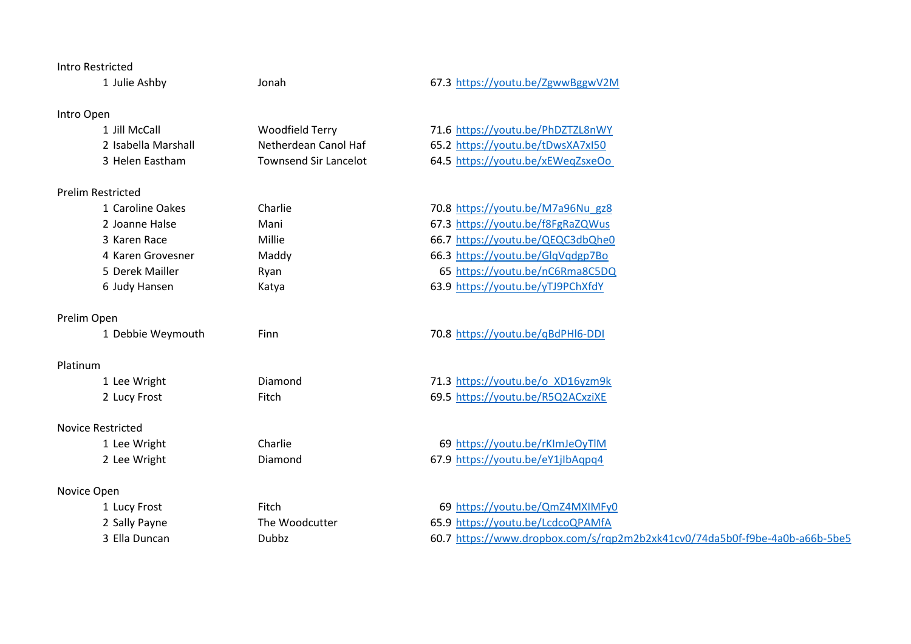### Intro Restricted

1 Julie Ashby Jonah 67.3 <https://youtu.be/ZgwwBggwV2M>

# Intro Open

| 1 Jill McCall       | Woodfield Terry              | 71.6 https://youtu.be/PhDZTZL8nWY |
|---------------------|------------------------------|-----------------------------------|
| 2 Isabella Marshall | Netherdean Canol Haf         | 65.2 https://youtu.be/tDwsXA7xI50 |
| 3 Helen Eastham     | <b>Townsend Sir Lancelot</b> | 64.5 https://youtu.be/xEWegZsxeOo |

## Prelim Restricted

| 1 Caroline Oakes  | Charlie | 70.8 https://youtu.be/M7a96Nu gz8 |
|-------------------|---------|-----------------------------------|
| 2 Joanne Halse    | Mani    | 67.3 https://youtu.be/f8FgRaZQWus |
| 3 Karen Race      | Millie  | 66.7 https://youtu.be/QEQC3dbQhe0 |
| 4 Karen Grovesner | Maddy   | 66.3 https://youtu.be/GlqVqdgp7Bo |
| 5 Derek Mailler   | Ryan    | 65 https://youtu.be/nC6Rma8C5DQ   |
| 6 Judy Hansen     | Katya   | 63.9 https://youtu.be/yTJ9PChXfdY |

#### Prelim Open

|  |  | 1 Debbie Weymouth |
|--|--|-------------------|
|--|--|-------------------|

## Platinum

## Novice Restricted

# Novice Open

Finn 70.8 <https://youtu.be/qBdPHl6-DDI>

1 Lee Wright Diamond 71.3 [https://youtu.be/o\\_XD16yzm9k](https://youtu.be/o_XD16yzm9k) 2 Lucy Frost Fitch Fitch 69.5 <https://youtu.be/R5Q2ACxziXE>

1 Lee Wright Charlie 69 <https://youtu.be/rKImJeOyTlM> 2 Lee Wright **Diamond** Diamond 67.9 <https://youtu.be/eY1jIbAqpq4>

1 Lucy Frost Fitch Fitch Fitch 69 <https://youtu.be/QmZ4MXIMFy0> 2 Sally Payne The Woodcutter 65.9 <https://youtu.be/LcdcoQPAMfA> 3 Ella Duncan Dubbz Dubbz 60.7 https://www.dropbox.com/s/rqp2m2b2xk41cv0/74da5b0f-f9be-4a0b-a66b-5be5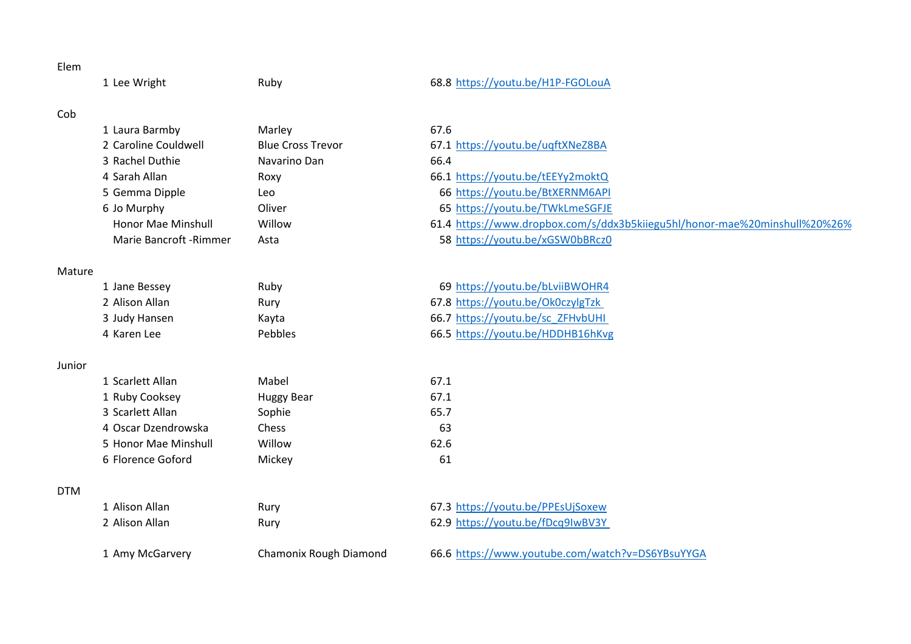## Elem

1 Lee Wright **Ruby** Ruby **68.8** <https://youtu.be/H1P-FGOLouA>

# Cob

| 1 Laura Barmby          | Marley                   | 67.6                                                                       |
|-------------------------|--------------------------|----------------------------------------------------------------------------|
| 2 Caroline Couldwell    | <b>Blue Cross Trevor</b> | 67.1 https://youtu.be/uqftXNeZ8BA                                          |
| 3 Rachel Duthie         | Navarino Dan             | 66.4                                                                       |
| 4 Sarah Allan           | Roxy                     | 66.1 https://youtu.be/tEEYy2moktQ                                          |
| 5 Gemma Dipple          | Leo                      | 66 https://youtu.be/BtXERNM6API                                            |
| 6 Jo Murphy             | Oliver                   | 65 https://youtu.be/TWkLmeSGFJE                                            |
| Honor Mae Minshull      | Willow                   | 61.4 https://www.dropbox.com/s/ddx3b5kiiegu5hl/honor-mae%20minshull%20%26% |
| Marie Bancroft - Rimmer | Asta                     | 58 https://youtu.be/xGSW0bBRcz0                                            |

## Mature

| 1 Jane Bessey  | Ruby           | 69 https://youtu.be/bLviiBWOHR4   |
|----------------|----------------|-----------------------------------|
| 2 Alison Allan | Rury           | 67.8 https://youtu.be/Ok0czylgTzk |
| 3 Judy Hansen  | Kavta          | 66.7 https://youtu.be/sc ZFHvbUHI |
| 4 Karen Lee    | <b>Pebbles</b> | 66.5 https://youtu.be/HDDHB16hKvg |

## Junior

| 1 Scarlett Allan     | Mabel      | 67.1 |
|----------------------|------------|------|
| 1 Ruby Cooksey       | Huggy Bear | 67.1 |
| 3 Scarlett Allan     | Sophie     | 65.7 |
| 4 Oscar Dzendrowska  | Chess      | 63   |
| 5 Honor Mae Minshull | Willow     | 62.6 |
| 6 Florence Goford    | Mickey     | 61   |

# DTM

| 1 Alison Allan  | Rurv                   | 67.3 https://youtu.be/PPEsUjSoxew                |
|-----------------|------------------------|--------------------------------------------------|
| 2 Alison Allan  | Rurv                   | 62.9 https://youtu.be/fDcq9IwBV3Y                |
|                 |                        |                                                  |
| 1 Amy McGarvery | Chamonix Rough Diamond | 66.6 https://www.youtube.com/watch?v=DS6YBsuYYGA |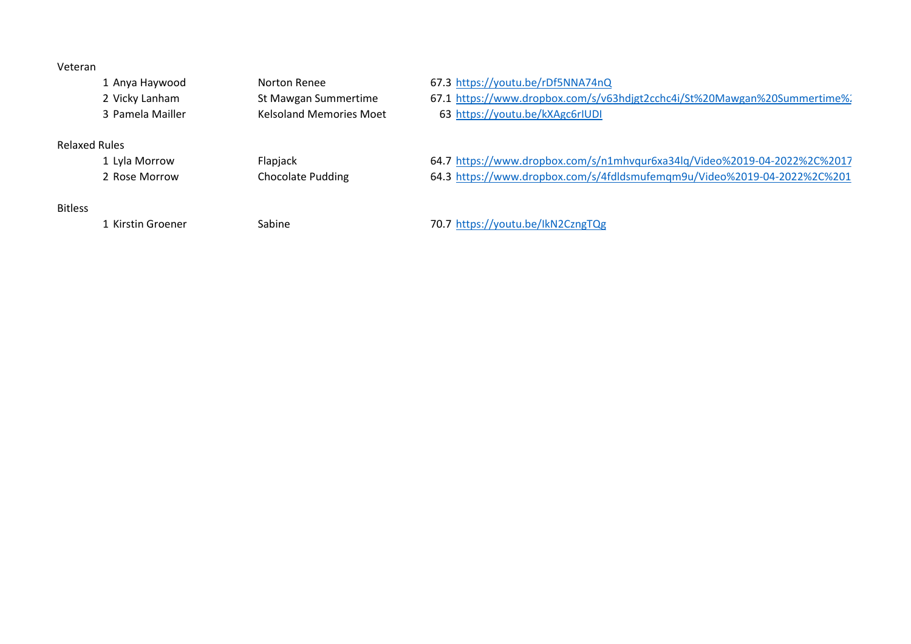## Veteran

|                | 1 Anya Haywood   | Norton Renee                   | 67.3 https://youtu.be/rDf5NNA74nQ                                         |
|----------------|------------------|--------------------------------|---------------------------------------------------------------------------|
|                | 2 Vicky Lanham   | St Mawgan Summertime           | 67.1 https://www.dropbox.com/s/v63hdjgt2cchc4i/St%20Mawgan%20Summertime%  |
|                | 3 Pamela Mailler | <b>Kelsoland Memories Moet</b> | 63 https://youtu.be/kXAgc6rIUDI                                           |
|                | Relaxed Rules    |                                |                                                                           |
|                | 1 Lyla Morrow    | Flapjack                       | 64.7 https://www.dropbox.com/s/n1mhvqur6xa34lq/Video%2019-04-2022%2C%2017 |
|                | 2 Rose Morrow    | <b>Chocolate Pudding</b>       | 64.3 https://www.dropbox.com/s/4fdldsmufemgm9u/Video%2019-04-2022%2C%201  |
|                |                  |                                |                                                                           |
| <b>Bitless</b> |                  |                                |                                                                           |

Kirstin Groener Sabine 70.7 <https://youtu.be/IkN2CzngTQg>